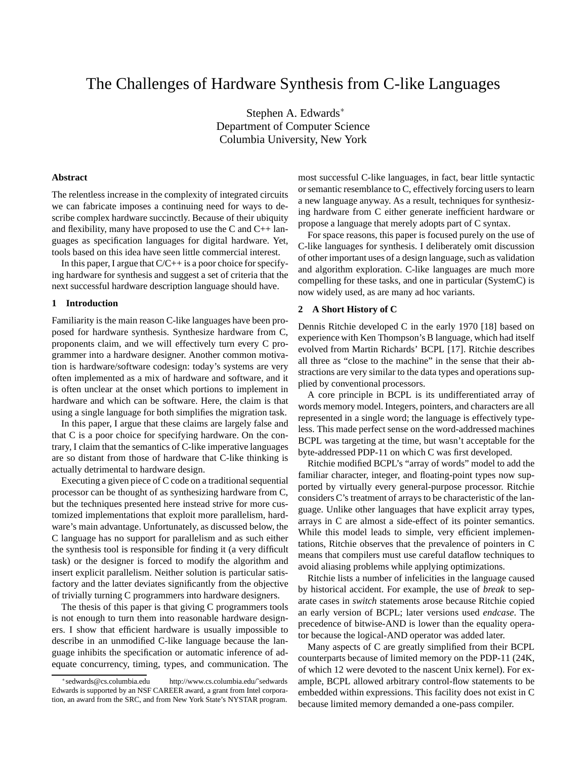# The Challenges of Hardware Synthesis from C-like Languages

Stephen A. Edwards<sup>∗</sup> Department of Computer Science Columbia University, New York

# **Abstract**

The relentless increase in the complexity of integrated circuits we can fabricate imposes a continuing need for ways to describe complex hardware succinctly. Because of their ubiquity and flexibility, many have proposed to use the C and  $C_{++}$  languages as specification languages for digital hardware. Yet, tools based on this idea have seen little commercial interest.

In this paper, I argue that  $C/C++$  is a poor choice for specifying hardware for synthesis and suggest a set of criteria that the next successful hardware description language should have.

#### **1 Introduction**

Familiarity is the main reason C-like languages have been proposed for hardware synthesis. Synthesize hardware from C, proponents claim, and we will effectively turn every C programmer into a hardware designer. Another common motivation is hardware/software codesign: today's systems are very often implemented as a mix of hardware and software, and it is often unclear at the onset which portions to implement in hardware and which can be software. Here, the claim is that using a single language for both simplifies the migration task.

In this paper, I argue that these claims are largely false and that C is a poor choice for specifying hardware. On the contrary, I claim that the semantics of C-like imperative languages are so distant from those of hardware that C-like thinking is actually detrimental to hardware design.

Executing a given piece of C code on a traditional sequential processor can be thought of as synthesizing hardware from C, but the techniques presented here instead strive for more customized implementations that exploit more parallelism, hardware's main advantage. Unfortunately, as discussed below, the C language has no support for parallelism and as such either the synthesis tool is responsible for finding it (a very difficult task) or the designer is forced to modify the algorithm and insert explicit parallelism. Neither solution is particular satisfactory and the latter deviates significantly from the objective of trivially turning C programmers into hardware designers.

The thesis of this paper is that giving C programmers tools is not enough to turn them into reasonable hardware designers. I show that efficient hardware is usually impossible to describe in an unmodified C-like language because the language inhibits the specification or automatic inference of adequate concurrency, timing, types, and communication. The most successful C-like languages, in fact, bear little syntactic or semantic resemblance to C, effectively forcing users to learn a new language anyway. As a result, techniques for synthesizing hardware from C either generate inefficient hardware or propose a language that merely adopts part of C syntax.

For space reasons, this paper is focused purely on the use of C-like languages for synthesis. I deliberately omit discussion of other important uses of a design language, such as validation and algorithm exploration. C-like languages are much more compelling for these tasks, and one in particular (SystemC) is now widely used, as are many ad hoc variants.

#### **2 A Short History of C**

Dennis Ritchie developed C in the early 1970 [18] based on experience with Ken Thompson's B language, which had itself evolved from Martin Richards' BCPL [17]. Ritchie describes all three as "close to the machine" in the sense that their abstractions are very similar to the data types and operations supplied by conventional processors.

A core principle in BCPL is its undifferentiated array of words memory model. Integers, pointers, and characters are all represented in a single word; the language is effectively typeless. This made perfect sense on the word-addressed machines BCPL was targeting at the time, but wasn't acceptable for the byte-addressed PDP-11 on which C was first developed.

Ritchie modified BCPL's "array of words" model to add the familiar character, integer, and floating-point types now supported by virtually every general-purpose processor. Ritchie considers C's treatment of arraysto be characteristic of the language. Unlike other languages that have explicit array types, arrays in C are almost a side-effect of its pointer semantics. While this model leads to simple, very efficient implementations, Ritchie observes that the prevalence of pointers in C means that compilers must use careful dataflow techniques to avoid aliasing problems while applying optimizations.

Ritchie lists a number of infelicities in the language caused by historical accident. For example, the use of *break* to separate cases in *switch* statements arose because Ritchie copied an early version of BCPL; later versions used *endcase*. The precedence of bitwise-AND is lower than the equality operator because the logical-AND operator was added later.

Many aspects of C are greatly simplified from their BCPL counterparts because of limited memory on the PDP-11 (24K, of which 12 were devoted to the nascent Unix kernel). For example, BCPL allowed arbitrary control-flow statements to be embedded within expressions. This facility does not exist in C because limited memory demanded a one-pass compiler.

<sup>\*</sup>sedwards@cs.columbia.edu http://www.cs.columbia.edu/~sedwards Edwards is supported by an NSF CAREER award, a grant from Intel corporation, an award from the SRC, and from New York State's NYSTAR program.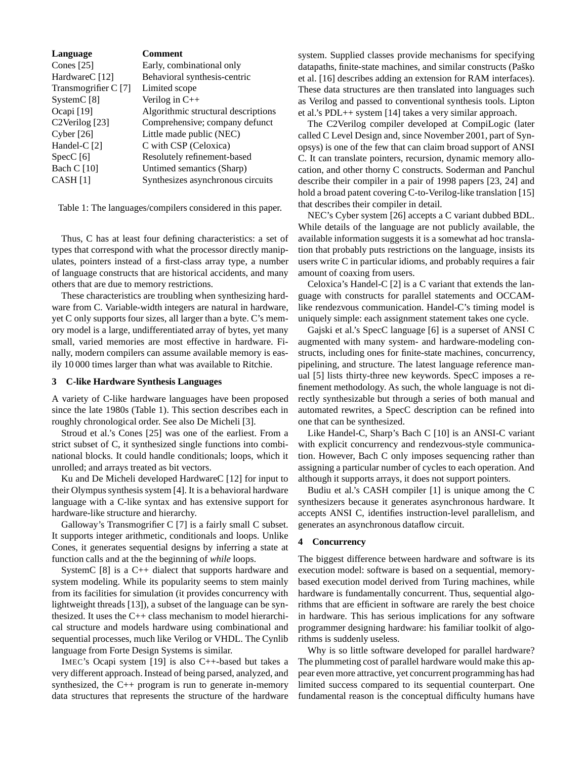| Language                               | Comment                             |
|----------------------------------------|-------------------------------------|
| Cones $[25]$                           | Early, combinational only           |
| HardwareC [12]                         | Behavioral synthesis-centric        |
| Transmogrifier C [7]                   | Limited scope                       |
| System $C$ [8]                         | Verilog in $C++$                    |
| Ocapi $[19]$                           | Algorithmic structural descriptions |
| C <sub>2</sub> Verilog <sup>[23]</sup> | Comprehensive; company defunct      |
| Cyber $[26]$                           | Little made public (NEC)            |
| Handel-C $[2]$                         | C with CSP (Celoxica)               |
| SpecC[6]                               | Resolutely refinement-based         |
| <b>Bach C</b> [10]                     | Untimed semantics (Sharp)           |
| CASH [1]                               | Synthesizes asynchronous circuits   |

Table 1: The languages/compilers considered in this paper.

Thus, C has at least four defining characteristics: a set of types that correspond with what the processor directly manipulates, pointers instead of a first-class array type, a number of language constructs that are historical accidents, and many others that are due to memory restrictions.

These characteristics are troubling when synthesizing hardware from C. Variable-width integers are natural in hardware, yet C only supports four sizes, all larger than a byte. C's memory model is a large, undifferentiated array of bytes, yet many small, varied memories are most effective in hardware. Finally, modern compilers can assume available memory is easily 10 000 times larger than what was available to Ritchie.

# **3 C-like Hardware Synthesis Languages**

A variety of C-like hardware languages have been proposed since the late 1980s (Table 1). This section describes each in roughly chronological order. See also De Micheli [3].

Stroud et al.'s Cones [25] was one of the earliest. From a strict subset of C, it synthesized single functions into combinational blocks. It could handle conditionals; loops, which it unrolled; and arrays treated as bit vectors.

Ku and De Micheli developed HardwareC [12] for input to their Olympus synthesis system [4]. It is a behavioral hardware language with a C-like syntax and has extensive support for hardware-like structure and hierarchy.

Galloway's Transmogrifier C [7] is a fairly small C subset. It supports integer arithmetic, conditionals and loops. Unlike Cones, it generates sequential designs by inferring a state at function calls and at the the beginning of *while* loops.

SystemC [8] is a C++ dialect that supports hardware and system modeling. While its popularity seems to stem mainly from its facilities for simulation (it provides concurrency with lightweight threads [13]), a subset of the language can be synthesized. It uses the C++ class mechanism to model hierarchical structure and models hardware using combinational and sequential processes, much like Verilog or VHDL. The Cynlib language from Forte Design Systems is similar.

IMEC's Ocapi system [19] is also C++-based but takes a very different approach. Instead of being parsed, analyzed, and synthesized, the C++ program is run to generate in-memory data structures that represents the structure of the hardware

system. Supplied classes provide mechanisms for specifying datapaths, finite-state machines, and similar constructs (Paško et al. [16] describes adding an extension for RAM interfaces). These data structures are then translated into languages such as Verilog and passed to conventional synthesis tools. Lipton et al.'s PDL++ system [14] takes a very similar approach.

The C2Verilog compiler developed at CompiLogic (later called C Level Design and, since November 2001, part of Synopsys) is one of the few that can claim broad support of ANSI C. It can translate pointers, recursion, dynamic memory allocation, and other thorny C constructs. Soderman and Panchul describe their compiler in a pair of 1998 papers [23, 24] and hold a broad patent covering C-to-Verilog-like translation [15] that describes their compiler in detail.

NEC's Cyber system [26] accepts a C variant dubbed BDL. While details of the language are not publicly available, the available information suggests it is a somewhat ad hoc translation that probably puts restrictions on the language, insists its users write C in particular idioms, and probably requires a fair amount of coaxing from users.

Celoxica's Handel-C [2] is a C variant that extends the language with constructs for parallel statements and OCCAMlike rendezvous communication. Handel-C's timing model is uniquely simple: each assignment statement takes one cycle.

Gajski et al.'s SpecC language [6] is a superset of ANSI C augmented with many system- and hardware-modeling constructs, including ones for finite-state machines, concurrency, pipelining, and structure. The latest language reference manual [5] lists thirty-three new keywords. SpecC imposes a refinement methodology. As such, the whole language is not directly synthesizable but through a series of both manual and automated rewrites, a SpecC description can be refined into one that can be synthesized.

Like Handel-C, Sharp's Bach C [10] is an ANSI-C variant with explicit concurrency and rendezvous-style communication. However, Bach C only imposes sequencing rather than assigning a particular number of cycles to each operation. And although it supports arrays, it does not support pointers.

Budiu et al.'s CASH compiler [1] is unique among the C synthesizers because it generates asynchronous hardware. It accepts ANSI C, identifies instruction-level parallelism, and generates an asynchronous dataflow circuit.

# **4 Concurrency**

The biggest difference between hardware and software is its execution model: software is based on a sequential, memorybased execution model derived from Turing machines, while hardware is fundamentally concurrent. Thus, sequential algorithms that are efficient in software are rarely the best choice in hardware. This has serious implications for any software programmer designing hardware: his familiar toolkit of algorithms is suddenly useless.

Why is so little software developed for parallel hardware? The plummeting cost of parallel hardware would make this appear even more attractive, yet concurrent programming has had limited success compared to its sequential counterpart. One fundamental reason is the conceptual difficulty humans have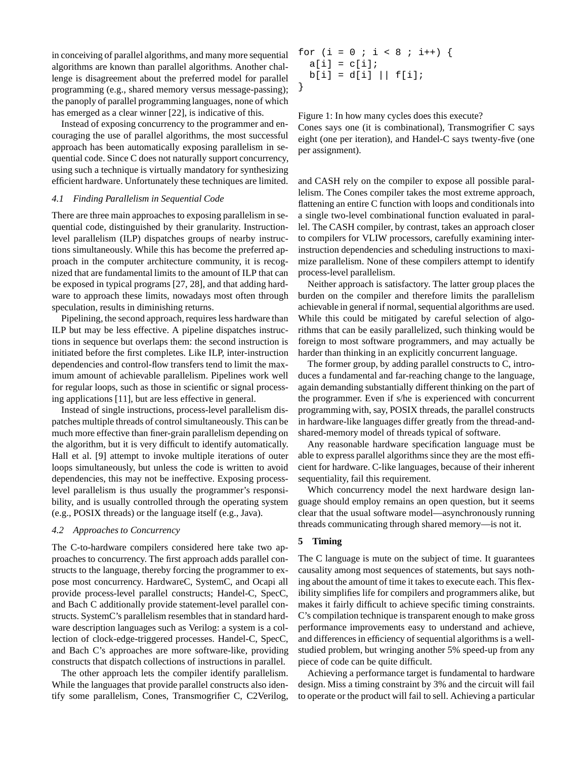in conceiving of parallel algorithms, and many more sequential algorithms are known than parallel algorithms. Another challenge is disagreement about the preferred model for parallel programming (e.g., shared memory versus message-passing); the panoply of parallel programming languages, none of which has emerged as a clear winner [22], is indicative of this.

Instead of exposing concurrency to the programmer and encouraging the use of parallel algorithms, the most successful approach has been automatically exposing parallelism in sequential code. Since C does not naturally support concurrency, using such a technique is virtually mandatory for synthesizing efficient hardware. Unfortunately these techniques are limited.

# *4.1 Finding Parallelism in Sequential Code*

There are three main approaches to exposing parallelism in sequential code, distinguished by their granularity. Instructionlevel parallelism (ILP) dispatches groups of nearby instructions simultaneously. While this has become the preferred approach in the computer architecture community, it is recognized that are fundamental limits to the amount of ILP that can be exposed in typical programs [27, 28], and that adding hardware to approach these limits, nowadays most often through speculation, results in diminishing returns.

Pipelining, the second approach, requires less hardware than ILP but may be less effective. A pipeline dispatches instructions in sequence but overlaps them: the second instruction is initiated before the first completes. Like ILP, inter-instruction dependencies and control-flow transfers tend to limit the maximum amount of achievable parallelism. Pipelines work well for regular loops, such as those in scientific or signal processing applications [11], but are less effective in general.

Instead of single instructions, process-level parallelism dispatches multiple threads of control simultaneously. This can be much more effective than finer-grain parallelism depending on the algorithm, but it is very difficult to identify automatically. Hall et al. [9] attempt to invoke multiple iterations of outer loops simultaneously, but unless the code is written to avoid dependencies, this may not be ineffective. Exposing processlevel parallelism is thus usually the programmer's responsibility, and is usually controlled through the operating system (e.g., POSIX threads) or the language itself (e.g., Java).

# *4.2 Approaches to Concurrency*

The C-to-hardware compilers considered here take two approaches to concurrency. The first approach adds parallel constructs to the language, thereby forcing the programmer to expose most concurrency. HardwareC, SystemC, and Ocapi all provide process-level parallel constructs; Handel-C, SpecC, and Bach C additionally provide statement-level parallel constructs. SystemC's parallelism resembles that in standard hardware description languages such as Verilog: a system is a collection of clock-edge-triggered processes. Handel-C, SpecC, and Bach C's approaches are more software-like, providing constructs that dispatch collections of instructions in parallel.

The other approach lets the compiler identify parallelism. While the languages that provide parallel constructs also identify some parallelism, Cones, Transmogrifier C, C2Verilog,

for  $(i = 0 ; i < 8 ; i++)$  {  $a[i] = c[i];$  $b[i] = d[i] || f[i];$ }

Figure 1: In how many cycles does this execute? Cones says one (it is combinational), Transmogrifier C says eight (one per iteration), and Handel-C says twenty-five (one per assignment).

and CASH rely on the compiler to expose all possible parallelism. The Cones compiler takes the most extreme approach, flattening an entire C function with loops and conditionals into a single two-level combinational function evaluated in parallel. The CASH compiler, by contrast, takes an approach closer to compilers for VLIW processors, carefully examining interinstruction dependencies and scheduling instructions to maximize parallelism. None of these compilers attempt to identify process-level parallelism.

Neither approach is satisfactory. The latter group places the burden on the compiler and therefore limits the parallelism achievable in general if normal, sequential algorithms are used. While this could be mitigated by careful selection of algorithms that can be easily parallelized, such thinking would be foreign to most software programmers, and may actually be harder than thinking in an explicitly concurrent language.

The former group, by adding parallel constructs to C, introduces a fundamental and far-reaching change to the language, again demanding substantially different thinking on the part of the programmer. Even if s/he is experienced with concurrent programming with, say, POSIX threads, the parallel constructs in hardware-like languages differ greatly from the thread-andshared-memory model of threads typical of software.

Any reasonable hardware specification language must be able to express parallel algorithms since they are the most efficient for hardware. C-like languages, because of their inherent sequentiality, fail this requirement.

Which concurrency model the next hardware design language should employ remains an open question, but it seems clear that the usual software model—asynchronously running threads communicating through shared memory—is not it.

#### **5 Timing**

The C language is mute on the subject of time. It guarantees causality among most sequences of statements, but says nothing about the amount of time it takes to execute each. This flexibility simplifies life for compilers and programmers alike, but makes it fairly difficult to achieve specific timing constraints. C's compilation technique is transparent enough to make gross performance improvements easy to understand and achieve, and differences in efficiency of sequential algorithms is a wellstudied problem, but wringing another 5% speed-up from any piece of code can be quite difficult.

Achieving a performance target is fundamental to hardware design. Miss a timing constraint by 3% and the circuit will fail to operate or the product will fail to sell. Achieving a particular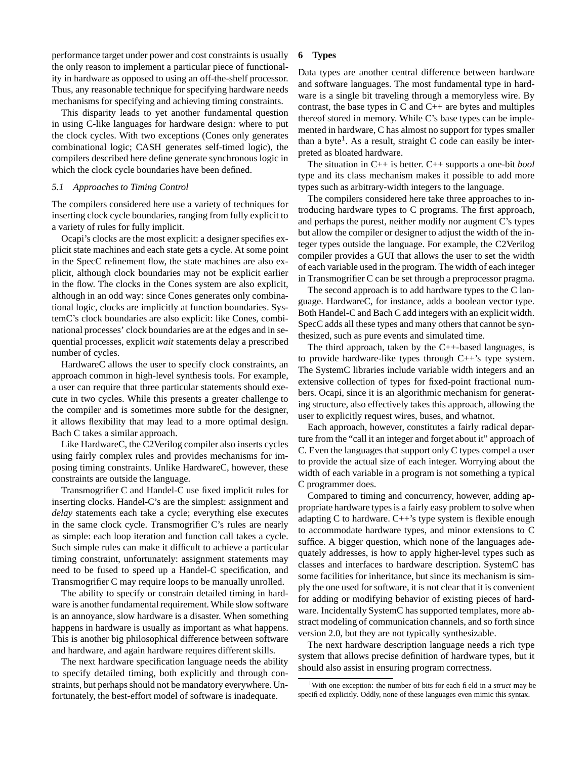performance target under power and cost constraints is usually the only reason to implement a particular piece of functionality in hardware as opposed to using an off-the-shelf processor. Thus, any reasonable technique for specifying hardware needs mechanisms for specifying and achieving timing constraints.

This disparity leads to yet another fundamental question in using C-like languages for hardware design: where to put the clock cycles. With two exceptions (Cones only generates combinational logic; CASH generates self-timed logic), the compilers described here define generate synchronous logic in which the clock cycle boundaries have been defined.

# *5.1 Approaches to Timing Control*

The compilers considered here use a variety of techniques for inserting clock cycle boundaries, ranging from fully explicit to a variety of rules for fully implicit.

Ocapi's clocks are the most explicit: a designer specifies explicit state machines and each state gets a cycle. At some point in the SpecC refinement flow, the state machines are also explicit, although clock boundaries may not be explicit earlier in the flow. The clocks in the Cones system are also explicit, although in an odd way: since Cones generates only combinational logic, clocks are implicitly at function boundaries. SystemC's clock boundaries are also explicit: like Cones, combinational processes' clock boundaries are at the edges and in sequential processes, explicit *wait* statements delay a prescribed number of cycles.

HardwareC allows the user to specify clock constraints, an approach common in high-level synthesis tools. For example, a user can require that three particular statements should execute in two cycles. While this presents a greater challenge to the compiler and is sometimes more subtle for the designer, it allows flexibility that may lead to a more optimal design. Bach C takes a similar approach.

Like HardwareC, the C2Verilog compiler also inserts cycles using fairly complex rules and provides mechanisms for imposing timing constraints. Unlike HardwareC, however, these constraints are outside the language.

Transmogrifier C and Handel-C use fixed implicit rules for inserting clocks. Handel-C's are the simplest: assignment and *delay* statements each take a cycle; everything else executes in the same clock cycle. Transmogrifier C's rules are nearly as simple: each loop iteration and function call takes a cycle. Such simple rules can make it difficult to achieve a particular timing constraint, unfortunately: assignment statements may need to be fused to speed up a Handel-C specification, and Transmogrifier C may require loops to be manually unrolled.

The ability to specify or constrain detailed timing in hardware is another fundamental requirement. While slow software is an annoyance, slow hardware is a disaster. When something happens in hardware is usually as important as what happens. This is another big philosophical difference between software and hardware, and again hardware requires different skills.

The next hardware specification language needs the ability to specify detailed timing, both explicitly and through constraints, but perhaps should not be mandatory everywhere. Unfortunately, the best-effort model of software is inadequate.

#### **6 Types**

Data types are another central difference between hardware and software languages. The most fundamental type in hardware is a single bit traveling through a memoryless wire. By contrast, the base types in  $C$  and  $C_{++}$  are bytes and multiples thereof stored in memory. While C's base types can be implemented in hardware, C has almost no support for types smaller than a byte<sup>1</sup>. As a result, straight C code can easily be interpreted as bloated hardware.

The situation in C++ is better. C++ supports a one-bit *bool* type and its class mechanism makes it possible to add more types such as arbitrary-width integers to the language.

The compilers considered here take three approaches to introducing hardware types to C programs. The first approach, and perhaps the purest, neither modify nor augment C's types but allow the compiler or designer to adjust the width of the integer types outside the language. For example, the C2Verilog compiler provides a GUI that allows the user to set the width of each variable used in the program. The width of each integer in Transmogrifier C can be set through a preprocessor pragma.

The second approach is to add hardware types to the C language. HardwareC, for instance, adds a boolean vector type. Both Handel-C and Bach C add integers with an explicit width. SpecC adds all these types and many others that cannot be synthesized, such as pure events and simulated time.

The third approach, taken by the  $C++$ -based languages, is to provide hardware-like types through C++'s type system. The SystemC libraries include variable width integers and an extensive collection of types for fixed-point fractional numbers. Ocapi, since it is an algorithmic mechanism for generating structure, also effectively takes this approach, allowing the user to explicitly request wires, buses, and whatnot.

Each approach, however, constitutes a fairly radical departure from the "call it an integer and forget about it" approach of C. Even the languages that support only C types compel a user to provide the actual size of each integer. Worrying about the width of each variable in a program is not something a typical C programmer does.

Compared to timing and concurrency, however, adding appropriate hardware typesis a fairly easy problem to solve when adapting C to hardware.  $C++$ 's type system is flexible enough to accommodate hardware types, and minor extensions to C suffice. A bigger question, which none of the languages adequately addresses, is how to apply higher-level types such as classes and interfaces to hardware description. SystemC has some facilities for inheritance, but since its mechanism is simply the one used for software, it is not clear that it is convenient for adding or modifying behavior of existing pieces of hardware. Incidentally SystemC has supported templates, more abstract modeling of communication channels, and so forth since version 2.0, but they are not typically synthesizable.

The next hardware description language needs a rich type system that allows precise definition of hardware types, but it should also assist in ensuring program correctness.

<sup>1</sup>With one exception: the number of bits for each field in a *struct* may be specified explicitly. Oddly, none of these languages even mimic this syntax.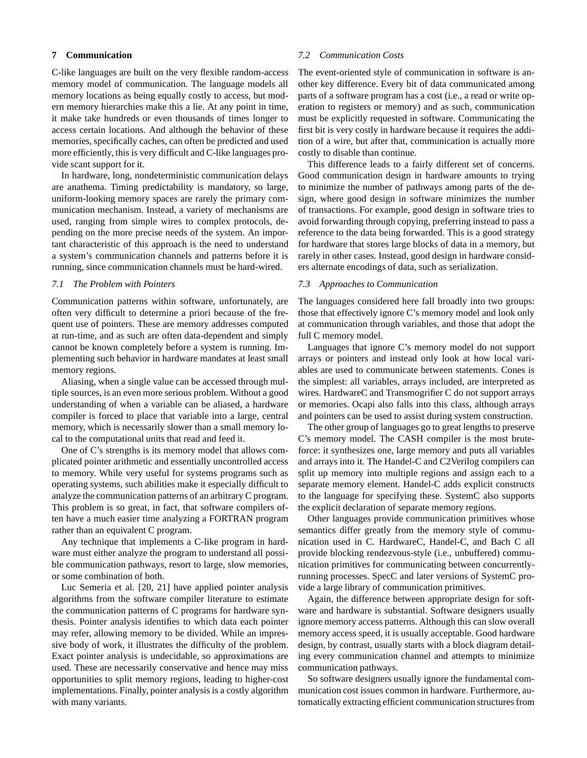# **7 Communication**

C-like languages are built on the very flexible random-access memory model of communication. The language models all memory locations as being equally costly to access, but modern memory hierarchies make this a lie. At any point in time, it make take hundreds or even thousands of times longer to access certain locations. And although the behavior of these memories, specifically caches, can often be predicted and used more efficiently, this is very difficult and C-like languages provide scant support for it.

In hardware, long, nondeterministic communication delays are anathema. Timing predictability is mandatory, so large, uniform-looking memory spaces are rarely the primary communication mechanism. Instead, a variety of mechanisms are used, ranging from simple wires to complex protocols, depending on the more precise needs of the system. An important characteristic of this approach is the need to understand a system's communication channels and patterns before it is running, since communication channels must be hard-wired.

# *7.1 The Problem with Pointers*

Communication patterns within software, unfortunately, are often very difficult to determine a priori because of the frequent use of pointers. These are memory addresses computed at run-time, and as such are often data-dependent and simply cannot be known completely before a system is running. Implementing such behavior in hardware mandates at least small memory regions.

Aliasing, when a single value can be accessed through multiple sources, is an even more serious problem. Without a good understanding of when a variable can be aliased, a hardware compiler is forced to place that variable into a large, central memory, which is necessarily slower than a small memory local to the computational units that read and feed it.

One of C's strengths is its memory model that allows complicated pointer arithmetic and essentially uncontrolled access to memory. While very useful for systems programs such as operating systems, such abilities make it especially difficult to analyze the communication patterns of an arbitrary C program. This problem is so great, in fact, that software compilers often have a much easier time analyzing a FORTRAN program rather than an equivalent C program.

Any technique that implements a C-like program in hardware must either analyze the program to understand all possible communication pathways, resort to large, slow memories, or some combination of both.

Luc Semeria et al. [20, 21] have applied pointer analysis algorithms from the software compiler literature to estimate the communication patterns of C programs for hardware synthesis. Pointer analysis identifies to which data each pointer may refer, allowing memory to be divided. While an impressive body of work, it illustrates the difficulty of the problem. Exact pointer analysis is undecidable, so approximations are used. These are necessarily conservative and hence may miss opportunities to split memory regions, leading to higher-cost implementations. Finally, pointer analysis is a costly algorithm with many variants.

#### *7.2 Communication Costs*

The event-oriented style of communication in software is another key difference. Every bit of data communicated among parts of a software program has a cost (i.e., a read or write operation to registers or memory) and as such, communication must be explicitly requested in software. Communicating the first bit is very costly in hardware because it requires the addition of a wire, but after that, communication is actually more costly to disable than continue.

This difference leads to a fairly different set of concerns. Good communication design in hardware amounts to trying to minimize the number of pathways among parts of the design, where good design in software minimizes the number of transactions. For example, good design in software tries to avoid forwarding through copying, preferring instead to pass a reference to the data being forwarded. This is a good strategy for hardware that stores large blocks of data in a memory, but rarely in other cases. Instead, good design in hardware considers alternate encodings of data, such as serialization.

# *7.3 Approaches to Communication*

The languages considered here fall broadly into two groups: those that effectively ignore C's memory model and look only at communication through variables, and those that adopt the full C memory model.

Languages that ignore C's memory model do not support arrays or pointers and instead only look at how local variables are used to communicate between statements. Cones is the simplest: all variables, arrays included, are interpreted as wires. HardwareC and Transmogrifier C do not support arrays or memories. Ocapi also falls into this class, although arrays and pointers can be used to assist during system construction.

The other group of languages go to great lengths to preserve C's memory model. The CASH compiler is the most bruteforce: it synthesizes one, large memory and puts all variables and arrays into it. The Handel-C and C2Verilog compilers can split up memory into multiple regions and assign each to a separate memory element. Handel-C adds explicit constructs to the language for specifying these. SystemC also supports the explicit declaration of separate memory regions.

Other languages provide communication primitives whose semantics differ greatly from the memory style of communication used in C. HardwareC, Handel-C, and Bach C all provide blocking rendezvous-style (i.e., unbuffered) communication primitives for communicating between concurrentlyrunning processes. SpecC and later versions of SystemC provide a large library of communication primitives.

Again, the difference between appropriate design for software and hardware is substantial. Software designers usually ignore memory access patterns. Although this can slow overall memory access speed, it is usually acceptable. Good hardware design, by contrast, usually starts with a block diagram detailing every communication channel and attempts to minimize communication pathways.

So software designers usually ignore the fundamental communication cost issues common in hardware. Furthermore, automatically extracting efficient communication structures from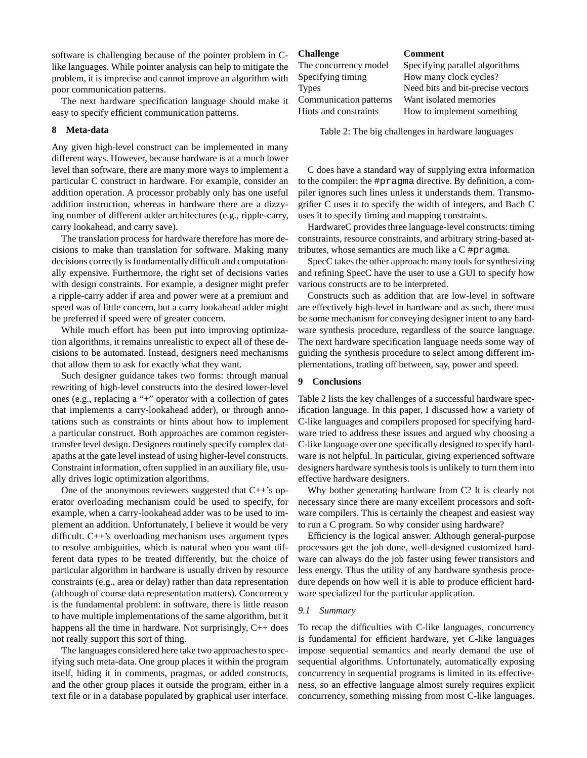software is challenging because of the pointer problem in Clike languages. While pointer analysis can help to mitigate the problem, it is imprecise and cannot improve an algorithm with poor communication patterns.

The next hardware specification language should make it easy to specify efficient communication patterns.

# **8 Meta-data**

Any given high-level construct can be implemented in many different ways. However, because hardware is at a much lower level than software, there are many more ways to implement a particular C construct in hardware. For example, consider an addition operation. A processor probably only has one useful addition instruction, whereas in hardware there are a dizzying number of different adder architectures (e.g., ripple-carry, carry lookahead, and carry save).

The translation process for hardware therefore has more decisions to make than translation for software. Making many decisions correctly is fundamentally difficult and computationally expensive. Furthermore, the right set of decisions varies with design constraints. For example, a designer might prefer a ripple-carry adder if area and power were at a premium and speed was of little concern, but a carry lookahead adder might be preferred if speed were of greater concern.

While much effort has been put into improving optimization algorithms, it remains unrealistic to expect all of these decisions to be automated. Instead, designers need mechanisms that allow them to ask for exactly what they want.

Such designer guidance takes two forms: through manual rewriting of high-level constructs into the desired lower-level ones (e.g., replacing a "+" operator with a collection of gates that implements a carry-lookahead adder), or through annotations such as constraints or hints about how to implement a particular construct. Both approaches are common registertransfer level design. Designers routinely specify complex datapaths at the gate level instead of using higher-level constructs. Constraint information, often supplied in an auxiliary file, usually drives logic optimization algorithms.

One of the anonymous reviewers suggested that  $C++$ 's operator overloading mechanism could be used to specify, for example, when a carry-lookahead adder was to be used to implement an addition. Unfortunately, I believe it would be very difficult. C++'s overloading mechanism uses argument types to resolve ambiguities, which is natural when you want different data types to be treated differently, but the choice of particular algorithm in hardware is usually driven by resource constraints (e.g., area or delay) rather than data representation (although of course data representation matters). Concurrency is the fundamental problem: in software, there is little reason to have multiple implementations of the same algorithm, but it happens all the time in hardware. Not surprisingly,  $C++$  does not really support this sort of thing.

The languages considered here take two approaches to specifying such meta-data. One group places it within the program itself, hiding it in comments, pragmas, or added constructs, and the other group places it outside the program, either in a text file or in a database populated by graphical user interface.

#### **Challenge Comment**

| The concurrency model  | Specifying parallel algor |
|------------------------|---------------------------|
| Specifying timing      | How many clock cycles?    |
| <b>Types</b>           | Need bits and bit-precise |
| Communication patterns | Want isolated memories    |
| Hints and constraints  | How to implement some     |

ecifying parallel algorithms bw many clock cycles? eed bits and bit-precise vectors Hints and constraints How to implement something

Table 2: The big challenges in hardware languages

C does have a standard way of supplying extra information to the compiler: the #pragma directive. By definition, a compiler ignores such lines unless it understands them. Transmogrifier C uses it to specify the width of integers, and Bach C uses it to specify timing and mapping constraints.

HardwareC provides three language-level constructs: timing constraints, resource constraints, and arbitrary string-based attributes, whose semantics are much like a C #pragma.

SpecC takes the other approach: many tools for synthesizing and refining SpecC have the user to use a GUI to specify how various constructs are to be interpreted.

Constructs such as addition that are low-level in software are effectively high-level in hardware and as such, there must be some mechanism for conveying designer intent to any hardware synthesis procedure, regardless of the source language. The next hardware specification language needs some way of guiding the synthesis procedure to select among different implementations, trading off between, say, power and speed.

# **9 Conclusions**

Table 2 lists the key challenges of a successful hardware specification language. In this paper, I discussed how a variety of C-like languages and compilers proposed for specifying hardware tried to address these issues and argued why choosing a C-like language over one specifically designed to specify hardware is not helpful. In particular, giving experienced software designers hardware synthesis tools is unlikely to turn them into effective hardware designers.

Why bother generating hardware from C? It is clearly not necessary since there are many excellent processors and software compilers. This is certainly the cheapest and easiest way to run a C program. So why consider using hardware?

Efficiency is the logical answer. Although general-purpose processors get the job done, well-designed customized hardware can always do the job faster using fewer transistors and less energy. Thus the utility of any hardware synthesis procedure depends on how well it is able to produce efficient hardware specialized for the particular application.

# *9.1 Summary*

To recap the difficulties with C-like languages, concurrency is fundamental for efficient hardware, yet C-like languages impose sequential semantics and nearly demand the use of sequential algorithms. Unfortunately, automatically exposing concurrency in sequential programs is limited in its effectiveness, so an effective language almost surely requires explicit concurrency, something missing from most C-like languages.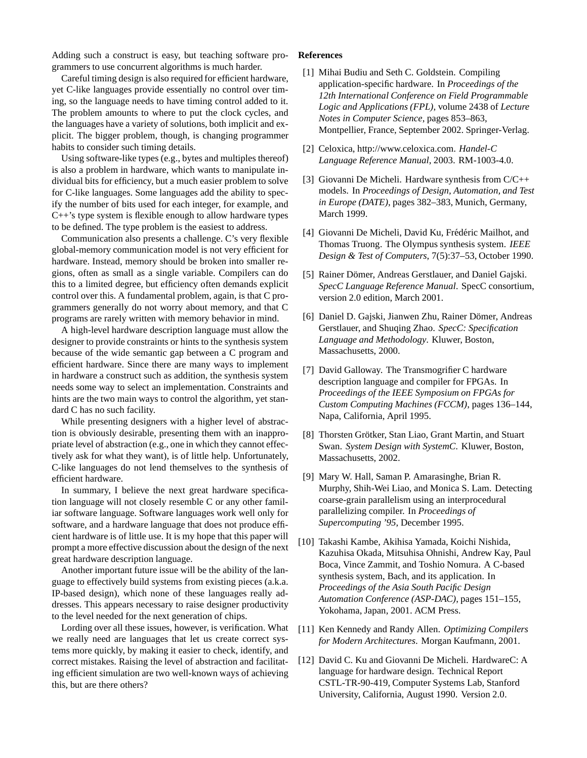Adding such a construct is easy, but teaching software programmers to use concurrent algorithms is much harder.

Careful timing design is also required for efficient hardware, yet C-like languages provide essentially no control over timing, so the language needs to have timing control added to it. The problem amounts to where to put the clock cycles, and the languages have a variety of solutions, both implicit and explicit. The bigger problem, though, is changing programmer habits to consider such timing details.

Using software-like types (e.g., bytes and multiples thereof) is also a problem in hardware, which wants to manipulate individual bits for efficiency, but a much easier problem to solve for C-like languages. Some languages add the ability to specify the number of bits used for each integer, for example, and C++'s type system is flexible enough to allow hardware types to be defined. The type problem is the easiest to address.

Communication also presents a challenge. C's very flexible global-memory communication model is not very efficient for hardware. Instead, memory should be broken into smaller regions, often as small as a single variable. Compilers can do this to a limited degree, but efficiency often demands explicit control over this. A fundamental problem, again, is that C programmers generally do not worry about memory, and that C programs are rarely written with memory behavior in mind.

A high-level hardware description language must allow the designer to provide constraints or hints to the synthesis system because of the wide semantic gap between a C program and efficient hardware. Since there are many ways to implement in hardware a construct such as addition, the synthesis system needs some way to select an implementation. Constraints and hints are the two main ways to control the algorithm, yet standard C has no such facility.

While presenting designers with a higher level of abstraction is obviously desirable, presenting them with an inappropriate level of abstraction (e.g., one in which they cannot effectively ask for what they want), is of little help. Unfortunately, C-like languages do not lend themselves to the synthesis of efficient hardware.

In summary, I believe the next great hardware specification language will not closely resemble C or any other familiar software language. Software languages work well only for software, and a hardware language that does not produce efficient hardware is of little use. It is my hope that this paper will prompt a more effective discussion about the design of the next great hardware description language.

Another important future issue will be the ability of the language to effectively build systems from existing pieces (a.k.a. IP-based design), which none of these languages really addresses. This appears necessary to raise designer productivity to the level needed for the next generation of chips.

Lording over all these issues, however, is verification. What we really need are languages that let us create correct systems more quickly, by making it easier to check, identify, and correct mistakes. Raising the level of abstraction and facilitating efficient simulation are two well-known ways of achieving this, but are there others?

#### **References**

- [1] Mihai Budiu and Seth C. Goldstein. Compiling application-specific hardware. In *Proceedings of the 12th International Conference on Field Programmable Logic and Applications (FPL)*, volume 2438 of *Lecture Notes in Computer Science*, pages 853–863, Montpellier, France, September 2002. Springer-Verlag.
- [2] Celoxica, http://www.celoxica.com. *Handel-C Language Reference Manual*, 2003. RM-1003-4.0.
- [3] Giovanni De Micheli. Hardware synthesis from C/C++ models. In *Proceedings of Design, Automation, and Test in Europe (DATE)*, pages 382–383, Munich, Germany, March 1999.
- [4] Giovanni De Micheli, David Ku, Frédéric Mailhot, and Thomas Truong. The Olympus synthesis system. *IEEE Design & Test of Computers*, 7(5):37–53, October 1990.
- [5] Rainer Dömer, Andreas Gerstlauer, and Daniel Gajski. *SpecC Language Reference Manual*. SpecC consortium, version 2.0 edition, March 2001.
- [6] Daniel D. Gajski, Jianwen Zhu, Rainer Dömer, Andreas Gerstlauer, and Shuqing Zhao. *SpecC: Specification Language and Methodology*. Kluwer, Boston, Massachusetts, 2000.
- [7] David Galloway. The Transmogrifier C hardware description language and compiler for FPGAs. In *Proceedings of the IEEE Symposium on FPGAs for Custom Computing Machines (FCCM)*, pages 136–144, Napa, California, April 1995.
- [8] Thorsten Grötker, Stan Liao, Grant Martin, and Stuart Swan. *System Design with SystemC*. Kluwer, Boston, Massachusetts, 2002.
- [9] Mary W. Hall, Saman P. Amarasinghe, Brian R. Murphy, Shih-Wei Liao, and Monica S. Lam. Detecting coarse-grain parallelism using an interprocedural parallelizing compiler. In *Proceedings of Supercomputing '95*, December 1995.
- [10] Takashi Kambe, Akihisa Yamada, Koichi Nishida, Kazuhisa Okada, Mitsuhisa Ohnishi, Andrew Kay, Paul Boca, Vince Zammit, and Toshio Nomura. A C-based synthesis system, Bach, and its application. In *Proceedings of the Asia South Pacific Design Automation Conference (ASP-DAC)*, pages 151–155, Yokohama, Japan, 2001. ACM Press.
- [11] Ken Kennedy and Randy Allen. *Optimizing Compilers for Modern Architectures*. Morgan Kaufmann, 2001.
- [12] David C. Ku and Giovanni De Micheli. HardwareC: A language for hardware design. Technical Report CSTL-TR-90-419, Computer Systems Lab, Stanford University, California, August 1990. Version 2.0.